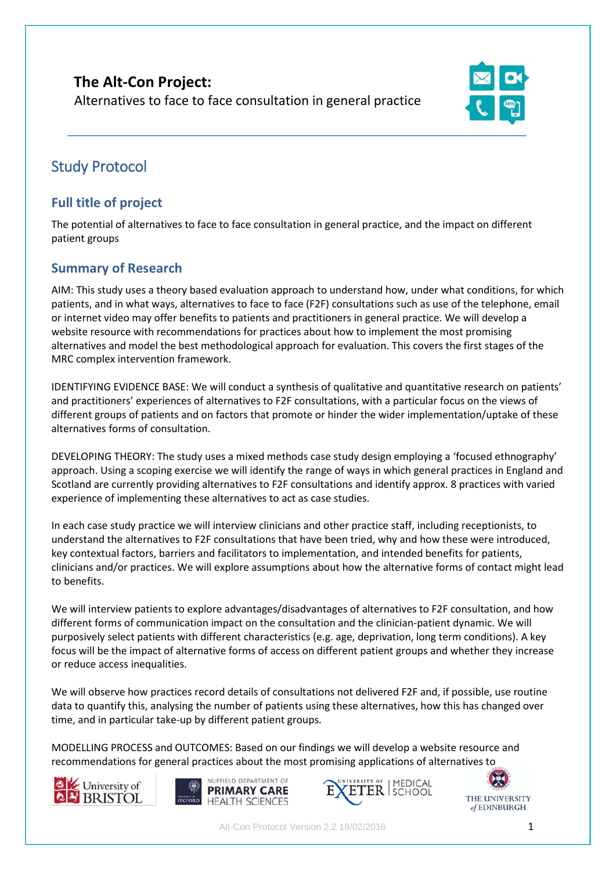# **The Alt-Con Project:**  Alternatives to face to face consultation in general practice



# Study Protocol

# **Full title of project**

The potential of alternatives to face to face consultation in general practice, and the impact on different patient groups

# **Summary of Research**

AIM: This study uses a theory based evaluation approach to understand how, under what conditions, for which patients, and in what ways, alternatives to face to face (F2F) consultations such as use of the telephone, email or internet video may offer benefits to patients and practitioners in general practice. We will develop a website resource with recommendations for practices about how to implement the most promising alternatives and model the best methodological approach for evaluation. This covers the first stages of the MRC complex intervention framework.

IDENTIFYING EVIDENCE BASE: We will conduct a synthesis of qualitative and quantitative research on patients' and practitioners' experiences of alternatives to F2F consultations, with a particular focus on the views of different groups of patients and on factors that promote or hinder the wider implementation/uptake of these alternatives forms of consultation.

DEVELOPING THEORY: The study uses a mixed methods case study design employing a 'focused ethnography' approach. Using a scoping exercise we will identify the range of ways in which general practices in England and Scotland are currently providing alternatives to F2F consultations and identify approx. 8 practices with varied experience of implementing these alternatives to act as case studies.

In each case study practice we will interview clinicians and other practice staff, including receptionists, to understand the alternatives to F2F consultations that have been tried, why and how these were introduced, key contextual factors, barriers and facilitators to implementation, and intended benefits for patients, clinicians and/or practices. We will explore assumptions about how the alternative forms of contact might lead to benefits.

We will interview patients to explore advantages/disadvantages of alternatives to F2F consultation, and how different forms of communication impact on the consultation and the clinician-patient dynamic. We will purposively select patients with different characteristics (e.g. age, deprivation, long term conditions). A key focus will be the impact of alternative forms of access on different patient groups and whether they increase or reduce access inequalities.

We will observe how practices record details of consultations not delivered F2F and, if possible, use routine data to quantify this, analysing the number of patients using these alternatives, how this has changed over time, and in particular take-up by different patient groups.

MODELLING PROCESS and OUTCOMES: Based on our findings we will develop a website resource and recommendations for general practices about the most promising applications of alternatives to







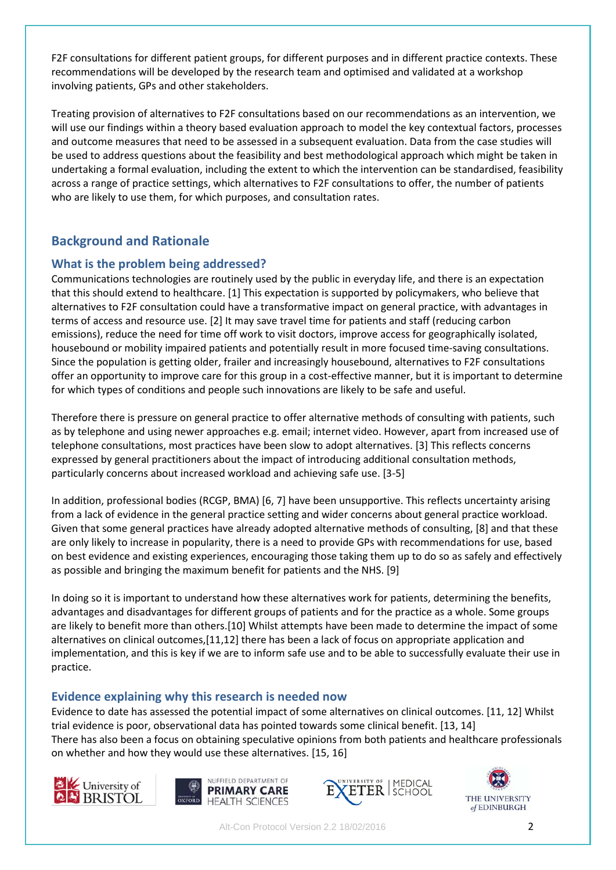F2F consultations for different patient groups, for different purposes and in different practice contexts. These recommendations will be developed by the research team and optimised and validated at a workshop involving patients, GPs and other stakeholders.

Treating provision of alternatives to F2F consultations based on our recommendations as an intervention, we will use our findings within a theory based evaluation approach to model the key contextual factors, processes and outcome measures that need to be assessed in a subsequent evaluation. Data from the case studies will be used to address questions about the feasibility and best methodological approach which might be taken in undertaking a formal evaluation, including the extent to which the intervention can be standardised, feasibility across a range of practice settings, which alternatives to F2F consultations to offer, the number of patients who are likely to use them, for which purposes, and consultation rates.

# **Background and Rationale**

### **What is the problem being addressed?**

Communications technologies are routinely used by the public in everyday life, and there is an expectation that this should extend to healthcare. [1] This expectation is supported by policymakers, who believe that alternatives to F2F consultation could have a transformative impact on general practice, with advantages in terms of access and resource use. [2] It may save travel time for patients and staff (reducing carbon emissions), reduce the need for time off work to visit doctors, improve access for geographically isolated, housebound or mobility impaired patients and potentially result in more focused time-saving consultations. Since the population is getting older, frailer and increasingly housebound, alternatives to F2F consultations offer an opportunity to improve care for this group in a cost-effective manner, but it is important to determine for which types of conditions and people such innovations are likely to be safe and useful.

Therefore there is pressure on general practice to offer alternative methods of consulting with patients, such as by telephone and using newer approaches e.g. email; internet video. However, apart from increased use of telephone consultations, most practices have been slow to adopt alternatives. [3] This reflects concerns expressed by general practitioners about the impact of introducing additional consultation methods, particularly concerns about increased workload and achieving safe use. [3-5]

In addition, professional bodies (RCGP, BMA) [6, 7] have been unsupportive. This reflects uncertainty arising from a lack of evidence in the general practice setting and wider concerns about general practice workload. Given that some general practices have already adopted alternative methods of consulting, [8] and that these are only likely to increase in popularity, there is a need to provide GPs with recommendations for use, based on best evidence and existing experiences, encouraging those taking them up to do so as safely and effectively as possible and bringing the maximum benefit for patients and the NHS. [9]

In doing so it is important to understand how these alternatives work for patients, determining the benefits, advantages and disadvantages for different groups of patients and for the practice as a whole. Some groups are likely to benefit more than others.[10] Whilst attempts have been made to determine the impact of some alternatives on clinical outcomes,[11,12] there has been a lack of focus on appropriate application and implementation, and this is key if we are to inform safe use and to be able to successfully evaluate their use in practice.

### **Evidence explaining why this research is needed now**

Evidence to date has assessed the potential impact of some alternatives on clinical outcomes. [11, 12] Whilst trial evidence is poor, observational data has pointed towards some clinical benefit. [13, 14] There has also been a focus on obtaining speculative opinions from both patients and healthcare professionals on whether and how they would use these alternatives. [15, 16]







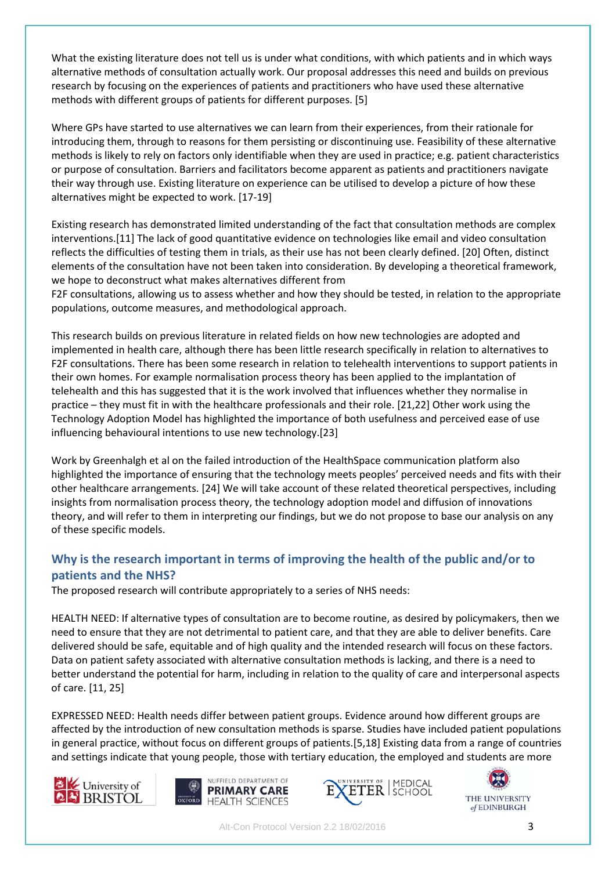What the existing literature does not tell us is under what conditions, with which patients and in which ways alternative methods of consultation actually work. Our proposal addresses this need and builds on previous research by focusing on the experiences of patients and practitioners who have used these alternative methods with different groups of patients for different purposes. [5]

Where GPs have started to use alternatives we can learn from their experiences, from their rationale for introducing them, through to reasons for them persisting or discontinuing use. Feasibility of these alternative methods is likely to rely on factors only identifiable when they are used in practice; e.g. patient characteristics or purpose of consultation. Barriers and facilitators become apparent as patients and practitioners navigate their way through use. Existing literature on experience can be utilised to develop a picture of how these alternatives might be expected to work. [17-19]

Existing research has demonstrated limited understanding of the fact that consultation methods are complex interventions.[11] The lack of good quantitative evidence on technologies like email and video consultation reflects the difficulties of testing them in trials, as their use has not been clearly defined. [20] Often, distinct elements of the consultation have not been taken into consideration. By developing a theoretical framework, we hope to deconstruct what makes alternatives different from

F2F consultations, allowing us to assess whether and how they should be tested, in relation to the appropriate populations, outcome measures, and methodological approach.

This research builds on previous literature in related fields on how new technologies are adopted and implemented in health care, although there has been little research specifically in relation to alternatives to F2F consultations. There has been some research in relation to telehealth interventions to support patients in their own homes. For example normalisation process theory has been applied to the implantation of telehealth and this has suggested that it is the work involved that influences whether they normalise in practice – they must fit in with the healthcare professionals and their role. [21,22] Other work using the Technology Adoption Model has highlighted the importance of both usefulness and perceived ease of use influencing behavioural intentions to use new technology.[23]

Work by Greenhalgh et al on the failed introduction of the HealthSpace communication platform also highlighted the importance of ensuring that the technology meets peoples' perceived needs and fits with their other healthcare arrangements. [24] We will take account of these related theoretical perspectives, including insights from normalisation process theory, the technology adoption model and diffusion of innovations theory, and will refer to them in interpreting our findings, but we do not propose to base our analysis on any of these specific models.

### **Why is the research important in terms of improving the health of the public and/or to patients and the NHS?**

The proposed research will contribute appropriately to a series of NHS needs:

HEALTH NEED: If alternative types of consultation are to become routine, as desired by policymakers, then we need to ensure that they are not detrimental to patient care, and that they are able to deliver benefits. Care delivered should be safe, equitable and of high quality and the intended research will focus on these factors. Data on patient safety associated with alternative consultation methods is lacking, and there is a need to better understand the potential for harm, including in relation to the quality of care and interpersonal aspects of care. [11, 25]

EXPRESSED NEED: Health needs differ between patient groups. Evidence around how different groups are affected by the introduction of new consultation methods is sparse. Studies have included patient populations in general practice, without focus on different groups of patients.[5,18] Existing data from a range of countries and settings indicate that young people, those with tertiary education, the employed and students are more







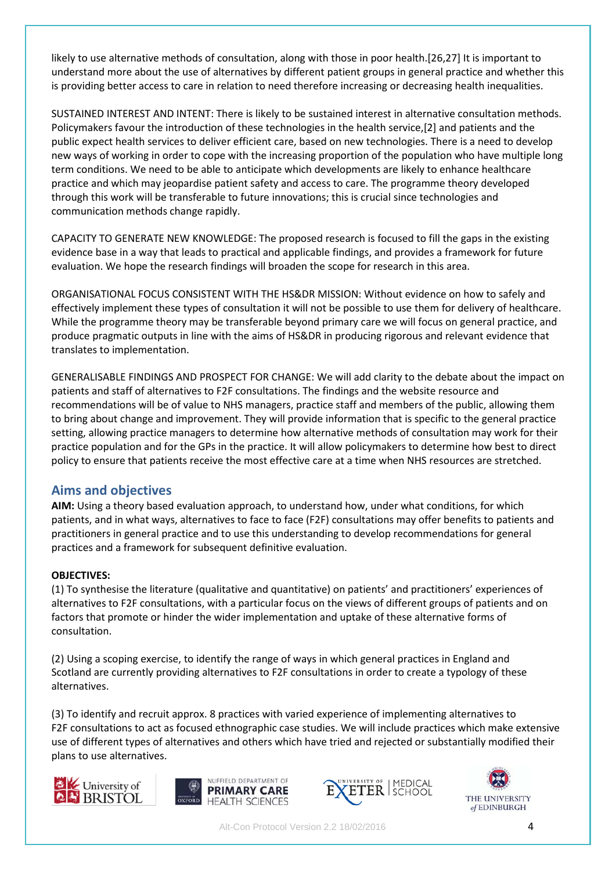likely to use alternative methods of consultation, along with those in poor health.[26,27] It is important to understand more about the use of alternatives by different patient groups in general practice and whether this is providing better access to care in relation to need therefore increasing or decreasing health inequalities.

SUSTAINED INTEREST AND INTENT: There is likely to be sustained interest in alternative consultation methods. Policymakers favour the introduction of these technologies in the health service,[2] and patients and the public expect health services to deliver efficient care, based on new technologies. There is a need to develop new ways of working in order to cope with the increasing proportion of the population who have multiple long term conditions. We need to be able to anticipate which developments are likely to enhance healthcare practice and which may jeopardise patient safety and access to care. The programme theory developed through this work will be transferable to future innovations; this is crucial since technologies and communication methods change rapidly.

CAPACITY TO GENERATE NEW KNOWLEDGE: The proposed research is focused to fill the gaps in the existing evidence base in a way that leads to practical and applicable findings, and provides a framework for future evaluation. We hope the research findings will broaden the scope for research in this area.

ORGANISATIONAL FOCUS CONSISTENT WITH THE HS&DR MISSION: Without evidence on how to safely and effectively implement these types of consultation it will not be possible to use them for delivery of healthcare. While the programme theory may be transferable beyond primary care we will focus on general practice, and produce pragmatic outputs in line with the aims of HS&DR in producing rigorous and relevant evidence that translates to implementation.

GENERALISABLE FINDINGS AND PROSPECT FOR CHANGE: We will add clarity to the debate about the impact on patients and staff of alternatives to F2F consultations. The findings and the website resource and recommendations will be of value to NHS managers, practice staff and members of the public, allowing them to bring about change and improvement. They will provide information that is specific to the general practice setting, allowing practice managers to determine how alternative methods of consultation may work for their practice population and for the GPs in the practice. It will allow policymakers to determine how best to direct policy to ensure that patients receive the most effective care at a time when NHS resources are stretched.

### **Aims and objectives**

**AIM:** Using a theory based evaluation approach, to understand how, under what conditions, for which patients, and in what ways, alternatives to face to face (F2F) consultations may offer benefits to patients and practitioners in general practice and to use this understanding to develop recommendations for general practices and a framework for subsequent definitive evaluation.

### **OBJECTIVES:**

(1) To synthesise the literature (qualitative and quantitative) on patients' and practitioners' experiences of alternatives to F2F consultations, with a particular focus on the views of different groups of patients and on factors that promote or hinder the wider implementation and uptake of these alternative forms of consultation.

(2) Using a scoping exercise, to identify the range of ways in which general practices in England and Scotland are currently providing alternatives to F2F consultations in order to create a typology of these alternatives.

(3) To identify and recruit approx. 8 practices with varied experience of implementing alternatives to F2F consultations to act as focused ethnographic case studies. We will include practices which make extensive use of different types of alternatives and others which have tried and rejected or substantially modified their plans to use alternatives.







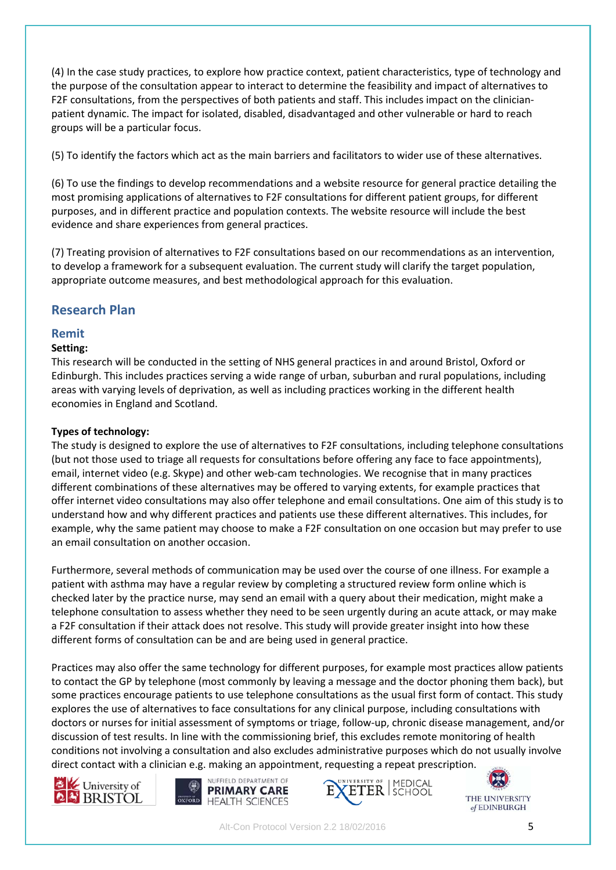(4) In the case study practices, to explore how practice context, patient characteristics, type of technology and the purpose of the consultation appear to interact to determine the feasibility and impact of alternatives to F2F consultations, from the perspectives of both patients and staff. This includes impact on the clinicianpatient dynamic. The impact for isolated, disabled, disadvantaged and other vulnerable or hard to reach groups will be a particular focus.

(5) To identify the factors which act as the main barriers and facilitators to wider use of these alternatives.

(6) To use the findings to develop recommendations and a website resource for general practice detailing the most promising applications of alternatives to F2F consultations for different patient groups, for different purposes, and in different practice and population contexts. The website resource will include the best evidence and share experiences from general practices.

(7) Treating provision of alternatives to F2F consultations based on our recommendations as an intervention, to develop a framework for a subsequent evaluation. The current study will clarify the target population, appropriate outcome measures, and best methodological approach for this evaluation.

# **Research Plan**

### **Remit**

### **Setting:**

This research will be conducted in the setting of NHS general practices in and around Bristol, Oxford or Edinburgh. This includes practices serving a wide range of urban, suburban and rural populations, including areas with varying levels of deprivation, as well as including practices working in the different health economies in England and Scotland.

### **Types of technology:**

The study is designed to explore the use of alternatives to F2F consultations, including telephone consultations (but not those used to triage all requests for consultations before offering any face to face appointments), email, internet video (e.g. Skype) and other web-cam technologies. We recognise that in many practices different combinations of these alternatives may be offered to varying extents, for example practices that offer internet video consultations may also offer telephone and email consultations. One aim of this study is to understand how and why different practices and patients use these different alternatives. This includes, for example, why the same patient may choose to make a F2F consultation on one occasion but may prefer to use an email consultation on another occasion.

Furthermore, several methods of communication may be used over the course of one illness. For example a patient with asthma may have a regular review by completing a structured review form online which is checked later by the practice nurse, may send an email with a query about their medication, might make a telephone consultation to assess whether they need to be seen urgently during an acute attack, or may make a F2F consultation if their attack does not resolve. This study will provide greater insight into how these different forms of consultation can be and are being used in general practice.

Practices may also offer the same technology for different purposes, for example most practices allow patients to contact the GP by telephone (most commonly by leaving a message and the doctor phoning them back), but some practices encourage patients to use telephone consultations as the usual first form of contact. This study explores the use of alternatives to face consultations for any clinical purpose, including consultations with doctors or nurses for initial assessment of symptoms or triage, follow-up, chronic disease management, and/or discussion of test results. In line with the commissioning brief, this excludes remote monitoring of health conditions not involving a consultation and also excludes administrative purposes which do not usually involve direct contact with a clinician e.g. making an appointment, requesting a repeat prescription.







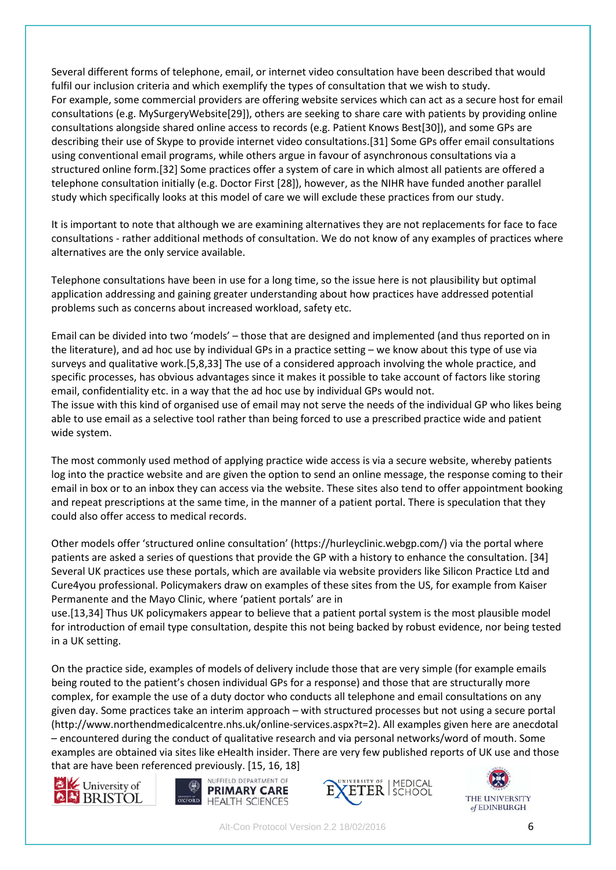Several different forms of telephone, email, or internet video consultation have been described that would fulfil our inclusion criteria and which exemplify the types of consultation that we wish to study. For example, some commercial providers are offering website services which can act as a secure host for email consultations (e.g. MySurgeryWebsite[29]), others are seeking to share care with patients by providing online consultations alongside shared online access to records (e.g. Patient Knows Best[30]), and some GPs are describing their use of Skype to provide internet video consultations.[31] Some GPs offer email consultations using conventional email programs, while others argue in favour of asynchronous consultations via a structured online form.[32] Some practices offer a system of care in which almost all patients are offered a telephone consultation initially (e.g. Doctor First [28]), however, as the NIHR have funded another parallel study which specifically looks at this model of care we will exclude these practices from our study.

It is important to note that although we are examining alternatives they are not replacements for face to face consultations - rather additional methods of consultation. We do not know of any examples of practices where alternatives are the only service available.

Telephone consultations have been in use for a long time, so the issue here is not plausibility but optimal application addressing and gaining greater understanding about how practices have addressed potential problems such as concerns about increased workload, safety etc.

Email can be divided into two 'models' – those that are designed and implemented (and thus reported on in the literature), and ad hoc use by individual GPs in a practice setting – we know about this type of use via surveys and qualitative work.[5,8,33] The use of a considered approach involving the whole practice, and specific processes, has obvious advantages since it makes it possible to take account of factors like storing email, confidentiality etc. in a way that the ad hoc use by individual GPs would not.

The issue with this kind of organised use of email may not serve the needs of the individual GP who likes being able to use email as a selective tool rather than being forced to use a prescribed practice wide and patient wide system.

The most commonly used method of applying practice wide access is via a secure website, whereby patients log into the practice website and are given the option to send an online message, the response coming to their email in box or to an inbox they can access via the website. These sites also tend to offer appointment booking and repeat prescriptions at the same time, in the manner of a patient portal. There is speculation that they could also offer access to medical records.

Other models offer 'structured online consultation' (https://hurleyclinic.webgp.com/) via the portal where patients are asked a series of questions that provide the GP with a history to enhance the consultation. [34] Several UK practices use these portals, which are available via website providers like Silicon Practice Ltd and Cure4you professional. Policymakers draw on examples of these sites from the US, for example from Kaiser Permanente and the Mayo Clinic, where 'patient portals' are in

use.[13,34] Thus UK policymakers appear to believe that a patient portal system is the most plausible model for introduction of email type consultation, despite this not being backed by robust evidence, nor being tested in a UK setting.

On the practice side, examples of models of delivery include those that are very simple (for example emails being routed to the patient's chosen individual GPs for a response) and those that are structurally more complex, for example the use of a duty doctor who conducts all telephone and email consultations on any given day. Some practices take an interim approach – with structured processes but not using a secure portal (http://www.northendmedicalcentre.nhs.uk/online-services.aspx?t=2). All examples given here are anecdotal – encountered during the conduct of qualitative research and via personal networks/word of mouth. Some examples are obtained via sites like eHealth insider. There are very few published reports of UK use and those that are have been referenced previously. [15, 16, 18]







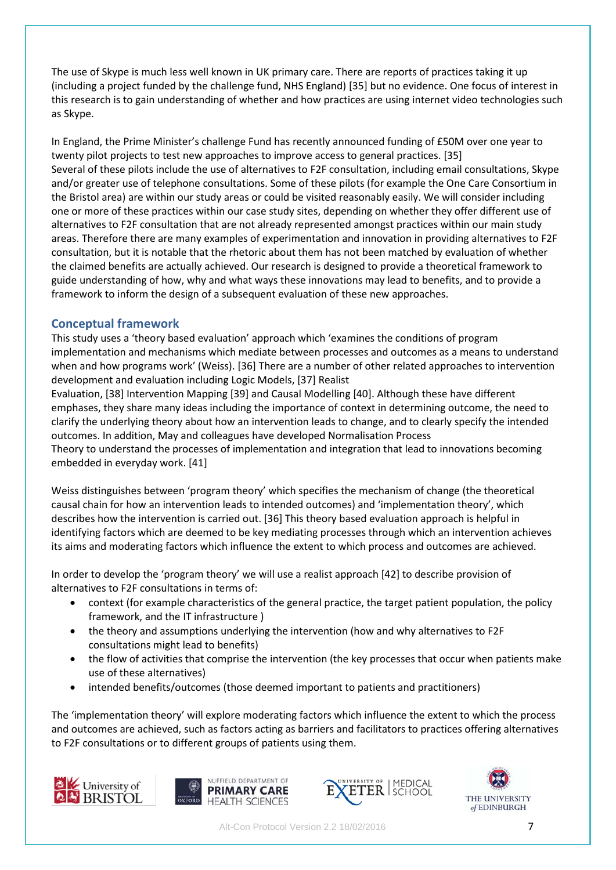The use of Skype is much less well known in UK primary care. There are reports of practices taking it up (including a project funded by the challenge fund, NHS England) [35] but no evidence. One focus of interest in this research is to gain understanding of whether and how practices are using internet video technologies such as Skype.

In England, the Prime Minister's challenge Fund has recently announced funding of £50M over one year to twenty pilot projects to test new approaches to improve access to general practices. [35] Several of these pilots include the use of alternatives to F2F consultation, including email consultations, Skype and/or greater use of telephone consultations. Some of these pilots (for example the One Care Consortium in the Bristol area) are within our study areas or could be visited reasonably easily. We will consider including one or more of these practices within our case study sites, depending on whether they offer different use of alternatives to F2F consultation that are not already represented amongst practices within our main study areas. Therefore there are many examples of experimentation and innovation in providing alternatives to F2F consultation, but it is notable that the rhetoric about them has not been matched by evaluation of whether the claimed benefits are actually achieved. Our research is designed to provide a theoretical framework to guide understanding of how, why and what ways these innovations may lead to benefits, and to provide a framework to inform the design of a subsequent evaluation of these new approaches.

### **Conceptual framework**

This study uses a 'theory based evaluation' approach which 'examines the conditions of program implementation and mechanisms which mediate between processes and outcomes as a means to understand when and how programs work' (Weiss). [36] There are a number of other related approaches to intervention development and evaluation including Logic Models, [37] Realist

Evaluation, [38] Intervention Mapping [39] and Causal Modelling [40]. Although these have different emphases, they share many ideas including the importance of context in determining outcome, the need to clarify the underlying theory about how an intervention leads to change, and to clearly specify the intended outcomes. In addition, May and colleagues have developed Normalisation Process

Theory to understand the processes of implementation and integration that lead to innovations becoming embedded in everyday work. [41]

Weiss distinguishes between 'program theory' which specifies the mechanism of change (the theoretical causal chain for how an intervention leads to intended outcomes) and 'implementation theory', which describes how the intervention is carried out. [36] This theory based evaluation approach is helpful in identifying factors which are deemed to be key mediating processes through which an intervention achieves its aims and moderating factors which influence the extent to which process and outcomes are achieved.

In order to develop the 'program theory' we will use a realist approach [42] to describe provision of alternatives to F2F consultations in terms of:

- context (for example characteristics of the general practice, the target patient population, the policy framework, and the IT infrastructure )
- the theory and assumptions underlying the intervention (how and why alternatives to F2F consultations might lead to benefits)
- the flow of activities that comprise the intervention (the key processes that occur when patients make use of these alternatives)
- intended benefits/outcomes (those deemed important to patients and practitioners)

The 'implementation theory' will explore moderating factors which influence the extent to which the process and outcomes are achieved, such as factors acting as barriers and facilitators to practices offering alternatives to F2F consultations or to different groups of patients using them.







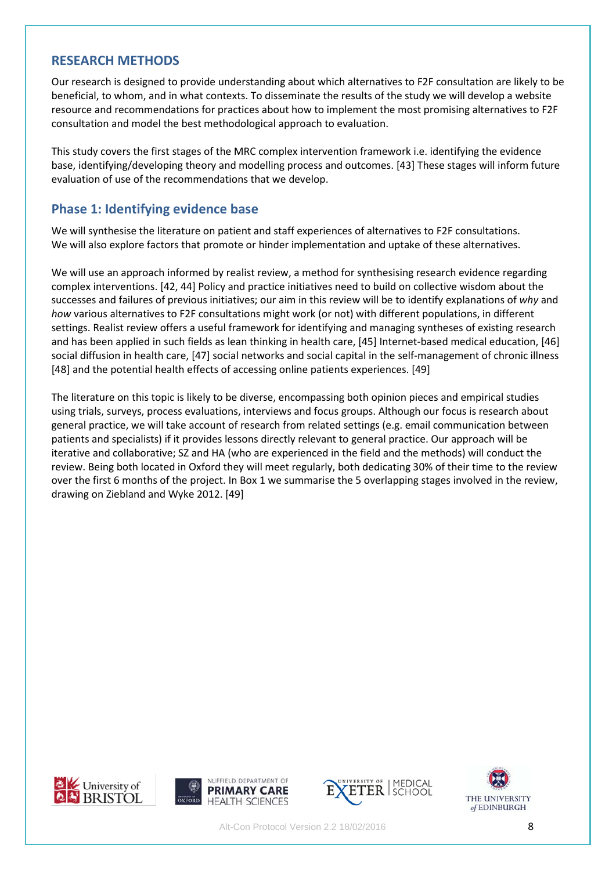### **RESEARCH METHODS**

Our research is designed to provide understanding about which alternatives to F2F consultation are likely to be beneficial, to whom, and in what contexts. To disseminate the results of the study we will develop a website resource and recommendations for practices about how to implement the most promising alternatives to F2F consultation and model the best methodological approach to evaluation.

This study covers the first stages of the MRC complex intervention framework i.e. identifying the evidence base, identifying/developing theory and modelling process and outcomes. [43] These stages will inform future evaluation of use of the recommendations that we develop.

### **Phase 1: Identifying evidence base**

We will synthesise the literature on patient and staff experiences of alternatives to F2F consultations. We will also explore factors that promote or hinder implementation and uptake of these alternatives.

We will use an approach informed by realist review, a method for synthesising research evidence regarding complex interventions. [42, 44] Policy and practice initiatives need to build on collective wisdom about the successes and failures of previous initiatives; our aim in this review will be to identify explanations of *why* and *how* various alternatives to F2F consultations might work (or not) with different populations, in different settings. Realist review offers a useful framework for identifying and managing syntheses of existing research and has been applied in such fields as lean thinking in health care, [45] Internet-based medical education, [46] social diffusion in health care, [47] social networks and social capital in the self-management of chronic illness [48] and the potential health effects of accessing online patients experiences. [49]

The literature on this topic is likely to be diverse, encompassing both opinion pieces and empirical studies using trials, surveys, process evaluations, interviews and focus groups. Although our focus is research about general practice, we will take account of research from related settings (e.g. email communication between patients and specialists) if it provides lessons directly relevant to general practice. Our approach will be iterative and collaborative; SZ and HA (who are experienced in the field and the methods) will conduct the review. Being both located in Oxford they will meet regularly, both dedicating 30% of their time to the review over the first 6 months of the project. In Box 1 we summarise the 5 overlapping stages involved in the review, drawing on Ziebland and Wyke 2012. [49]









Alt-Con Protocol Version 2.2 18/02/2016 8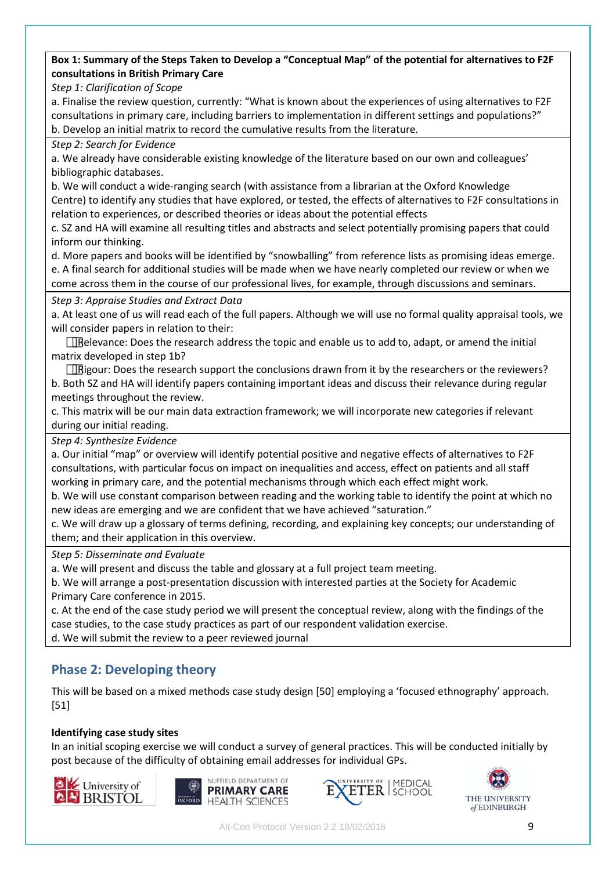### **Box 1: Summary of the Steps Taken to Develop a "Conceptual Map" of the potential for alternatives to F2F consultations in British Primary Care**

*Step 1: Clarification of Scope*

a. Finalise the review question, currently: "What is known about the experiences of using alternatives to F2F consultations in primary care, including barriers to implementation in different settings and populations?" b. Develop an initial matrix to record the cumulative results from the literature.

### *Step 2: Search for Evidence*

a. We already have considerable existing knowledge of the literature based on our own and colleagues' bibliographic databases.

b. We will conduct a wide-ranging search (with assistance from a librarian at the Oxford Knowledge Centre) to identify any studies that have explored, or tested, the effects of alternatives to F2F consultations in relation to experiences, or described theories or ideas about the potential effects

c. SZ and HA will examine all resulting titles and abstracts and select potentially promising papers that could inform our thinking.

d. More papers and books will be identified by "snowballing" from reference lists as promising ideas emerge. e. A final search for additional studies will be made when we have nearly completed our review or when we come across them in the course of our professional lives, for example, through discussions and seminars.

### *Step 3: Appraise Studies and Extract Data*

a. At least one of us will read each of the full papers. Although we will use no formal quality appraisal tools, we will consider papers in relation to their:

 $\Box$ Relevance: Does the research address the topic and enable us to add to, adapt, or amend the initial matrix developed in step 1b?

 $\Box$ Rigour: Does the research support the conclusions drawn from it by the researchers or the reviewers? b. Both SZ and HA will identify papers containing important ideas and discuss their relevance during regular meetings throughout the review.

c. This matrix will be our main data extraction framework; we will incorporate new categories if relevant during our initial reading.

*Step 4: Synthesize Evidence*

a. Our initial "map" or overview will identify potential positive and negative effects of alternatives to F2F consultations, with particular focus on impact on inequalities and access, effect on patients and all staff working in primary care, and the potential mechanisms through which each effect might work.

b. We will use constant comparison between reading and the working table to identify the point at which no new ideas are emerging and we are confident that we have achieved "saturation."

c. We will draw up a glossary of terms defining, recording, and explaining key concepts; our understanding of them; and their application in this overview.

### *Step 5: Disseminate and Evaluate*

a. We will present and discuss the table and glossary at a full project team meeting.

b. We will arrange a post-presentation discussion with interested parties at the Society for Academic Primary Care conference in 2015.

c. At the end of the case study period we will present the conceptual review, along with the findings of the case studies, to the case study practices as part of our respondent validation exercise.

d. We will submit the review to a peer reviewed journal

# **Phase 2: Developing theory**

This will be based on a mixed methods case study design [50] employing a 'focused ethnography' approach. [51]

### **Identifying case study sites**

In an initial scoping exercise we will conduct a survey of general practices. This will be conducted initially by post because of the difficulty of obtaining email addresses for individual GPs.







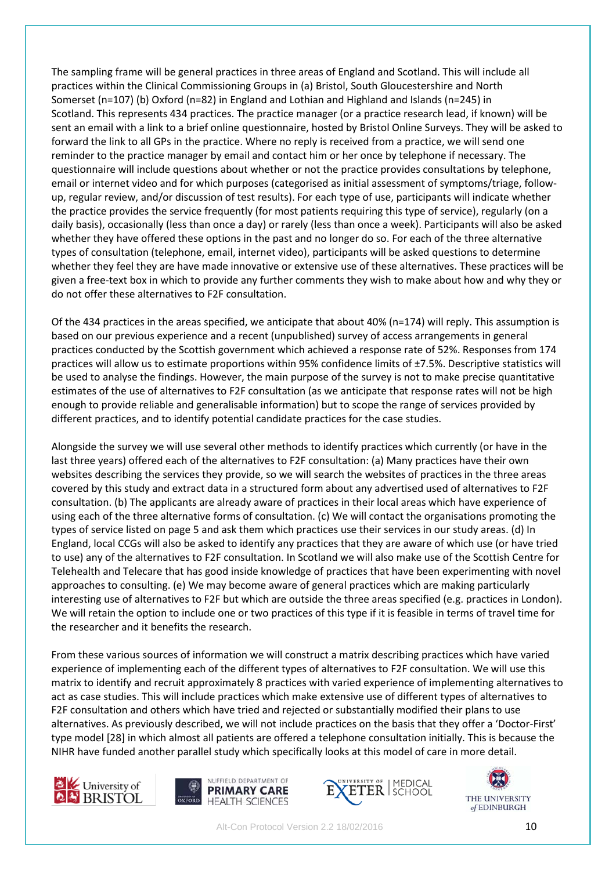The sampling frame will be general practices in three areas of England and Scotland. This will include all practices within the Clinical Commissioning Groups in (a) Bristol, South Gloucestershire and North Somerset (n=107) (b) Oxford (n=82) in England and Lothian and Highland and Islands (n=245) in Scotland. This represents 434 practices. The practice manager (or a practice research lead, if known) will be sent an email with a link to a brief online questionnaire, hosted by Bristol Online Surveys. They will be asked to forward the link to all GPs in the practice. Where no reply is received from a practice, we will send one reminder to the practice manager by email and contact him or her once by telephone if necessary. The questionnaire will include questions about whether or not the practice provides consultations by telephone, email or internet video and for which purposes (categorised as initial assessment of symptoms/triage, followup, regular review, and/or discussion of test results). For each type of use, participants will indicate whether the practice provides the service frequently (for most patients requiring this type of service), regularly (on a daily basis), occasionally (less than once a day) or rarely (less than once a week). Participants will also be asked whether they have offered these options in the past and no longer do so. For each of the three alternative types of consultation (telephone, email, internet video), participants will be asked questions to determine whether they feel they are have made innovative or extensive use of these alternatives. These practices will be given a free-text box in which to provide any further comments they wish to make about how and why they or do not offer these alternatives to F2F consultation.

Of the 434 practices in the areas specified, we anticipate that about 40% (n=174) will reply. This assumption is based on our previous experience and a recent (unpublished) survey of access arrangements in general practices conducted by the Scottish government which achieved a response rate of 52%. Responses from 174 practices will allow us to estimate proportions within 95% confidence limits of ±7.5%. Descriptive statistics will be used to analyse the findings. However, the main purpose of the survey is not to make precise quantitative estimates of the use of alternatives to F2F consultation (as we anticipate that response rates will not be high enough to provide reliable and generalisable information) but to scope the range of services provided by different practices, and to identify potential candidate practices for the case studies.

Alongside the survey we will use several other methods to identify practices which currently (or have in the last three years) offered each of the alternatives to F2F consultation: (a) Many practices have their own websites describing the services they provide, so we will search the websites of practices in the three areas covered by this study and extract data in a structured form about any advertised used of alternatives to F2F consultation. (b) The applicants are already aware of practices in their local areas which have experience of using each of the three alternative forms of consultation. (c) We will contact the organisations promoting the types of service listed on page 5 and ask them which practices use their services in our study areas. (d) In England, local CCGs will also be asked to identify any practices that they are aware of which use (or have tried to use) any of the alternatives to F2F consultation. In Scotland we will also make use of the Scottish Centre for Telehealth and Telecare that has good inside knowledge of practices that have been experimenting with novel approaches to consulting. (e) We may become aware of general practices which are making particularly interesting use of alternatives to F2F but which are outside the three areas specified (e.g. practices in London). We will retain the option to include one or two practices of this type if it is feasible in terms of travel time for the researcher and it benefits the research.

From these various sources of information we will construct a matrix describing practices which have varied experience of implementing each of the different types of alternatives to F2F consultation. We will use this matrix to identify and recruit approximately 8 practices with varied experience of implementing alternatives to act as case studies. This will include practices which make extensive use of different types of alternatives to F2F consultation and others which have tried and rejected or substantially modified their plans to use alternatives. As previously described, we will not include practices on the basis that they offer a 'Doctor-First' type model [28] in which almost all patients are offered a telephone consultation initially. This is because the NIHR have funded another parallel study which specifically looks at this model of care in more detail.







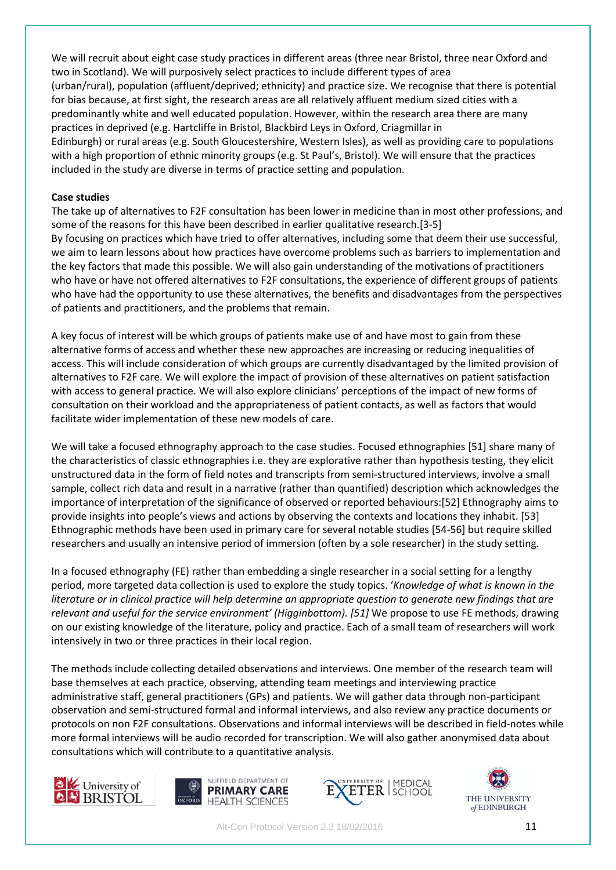We will recruit about eight case study practices in different areas (three near Bristol, three near Oxford and two in Scotland). We will purposively select practices to include different types of area (urban/rural), population (affluent/deprived; ethnicity) and practice size. We recognise that there is potential for bias because, at first sight, the research areas are all relatively affluent medium sized cities with a predominantly white and well educated population. However, within the research area there are many practices in deprived (e.g. Hartcliffe in Bristol, Blackbird Leys in Oxford, Criagmillar in Edinburgh) or rural areas (e.g. South Gloucestershire, Western Isles), as well as providing care to populations with a high proportion of ethnic minority groups (e.g. St Paul's, Bristol). We will ensure that the practices included in the study are diverse in terms of practice setting and population.

#### **Case studies**

The take up of alternatives to F2F consultation has been lower in medicine than in most other professions, and some of the reasons for this have been described in earlier qualitative research.[3-5] By focusing on practices which have tried to offer alternatives, including some that deem their use successful, we aim to learn lessons about how practices have overcome problems such as barriers to implementation and the key factors that made this possible. We will also gain understanding of the motivations of practitioners who have or have not offered alternatives to F2F consultations, the experience of different groups of patients who have had the opportunity to use these alternatives, the benefits and disadvantages from the perspectives of patients and practitioners, and the problems that remain.

A key focus of interest will be which groups of patients make use of and have most to gain from these alternative forms of access and whether these new approaches are increasing or reducing inequalities of access. This will include consideration of which groups are currently disadvantaged by the limited provision of alternatives to F2F care. We will explore the impact of provision of these alternatives on patient satisfaction with access to general practice. We will also explore clinicians' perceptions of the impact of new forms of consultation on their workload and the appropriateness of patient contacts, as well as factors that would facilitate wider implementation of these new models of care.

We will take a focused ethnography approach to the case studies. Focused ethnographies [51] share many of the characteristics of classic ethnographies i.e. they are explorative rather than hypothesis testing, they elicit unstructured data in the form of field notes and transcripts from semi-structured interviews, involve a small sample, collect rich data and result in a narrative (rather than quantified) description which acknowledges the importance of interpretation of the significance of observed or reported behaviours:[52] Ethnography aims to provide insights into people's views and actions by observing the contexts and locations they inhabit. [53] Ethnographic methods have been used in primary care for several notable studies [54-56] but require skilled researchers and usually an intensive period of immersion (often by a sole researcher) in the study setting.

In a focused ethnography (FE) rather than embedding a single researcher in a social setting for a lengthy period, more targeted data collection is used to explore the study topics. '*Knowledge of what is known in the literature or in clinical practice will help determine an appropriate question to generate new findings that are relevant and useful for the service environment' (Higginbottom). [51]* We propose to use FE methods, drawing on our existing knowledge of the literature, policy and practice. Each of a small team of researchers will work intensively in two or three practices in their local region.

The methods include collecting detailed observations and interviews. One member of the research team will base themselves at each practice, observing, attending team meetings and interviewing practice administrative staff, general practitioners (GPs) and patients. We will gather data through non-participant observation and semi-structured formal and informal interviews, and also review any practice documents or protocols on non F2F consultations. Observations and informal interviews will be described in field-notes while more formal interviews will be audio recorded for transcription. We will also gather anonymised data about consultations which will contribute to a quantitative analysis.







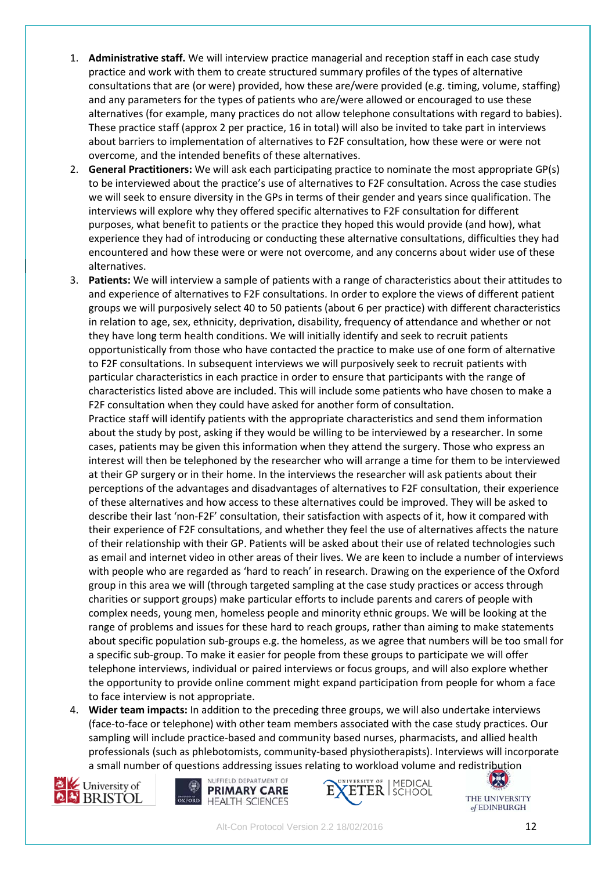- 1. **Administrative staff.** We will interview practice managerial and reception staff in each case study practice and work with them to create structured summary profiles of the types of alternative consultations that are (or were) provided, how these are/were provided (e.g. timing, volume, staffing) and any parameters for the types of patients who are/were allowed or encouraged to use these alternatives (for example, many practices do not allow telephone consultations with regard to babies). These practice staff (approx 2 per practice, 16 in total) will also be invited to take part in interviews about barriers to implementation of alternatives to F2F consultation, how these were or were not overcome, and the intended benefits of these alternatives.
- 2. **General Practitioners:** We will ask each participating practice to nominate the most appropriate GP(s) to be interviewed about the practice's use of alternatives to F2F consultation. Across the case studies we will seek to ensure diversity in the GPs in terms of their gender and years since qualification. The interviews will explore why they offered specific alternatives to F2F consultation for different purposes, what benefit to patients or the practice they hoped this would provide (and how), what experience they had of introducing or conducting these alternative consultations, difficulties they had encountered and how these were or were not overcome, and any concerns about wider use of these alternatives.
- 3. **Patients:** We will interview a sample of patients with a range of characteristics about their attitudes to and experience of alternatives to F2F consultations. In order to explore the views of different patient groups we will purposively select 40 to 50 patients (about 6 per practice) with different characteristics in relation to age, sex, ethnicity, deprivation, disability, frequency of attendance and whether or not they have long term health conditions. We will initially identify and seek to recruit patients opportunistically from those who have contacted the practice to make use of one form of alternative to F2F consultations. In subsequent interviews we will purposively seek to recruit patients with particular characteristics in each practice in order to ensure that participants with the range of characteristics listed above are included. This will include some patients who have chosen to make a F2F consultation when they could have asked for another form of consultation.

Practice staff will identify patients with the appropriate characteristics and send them information about the study by post, asking if they would be willing to be interviewed by a researcher. In some cases, patients may be given this information when they attend the surgery. Those who express an interest will then be telephoned by the researcher who will arrange a time for them to be interviewed at their GP surgery or in their home. In the interviews the researcher will ask patients about their perceptions of the advantages and disadvantages of alternatives to F2F consultation, their experience of these alternatives and how access to these alternatives could be improved. They will be asked to describe their last 'non-F2F' consultation, their satisfaction with aspects of it, how it compared with their experience of F2F consultations, and whether they feel the use of alternatives affects the nature of their relationship with their GP. Patients will be asked about their use of related technologies such as email and internet video in other areas of their lives. We are keen to include a number of interviews with people who are regarded as 'hard to reach' in research. Drawing on the experience of the Oxford group in this area we will (through targeted sampling at the case study practices or access through charities or support groups) make particular efforts to include parents and carers of people with complex needs, young men, homeless people and minority ethnic groups. We will be looking at the range of problems and issues for these hard to reach groups, rather than aiming to make statements about specific population sub-groups e.g. the homeless, as we agree that numbers will be too small for a specific sub-group. To make it easier for people from these groups to participate we will offer telephone interviews, individual or paired interviews or focus groups, and will also explore whether the opportunity to provide online comment might expand participation from people for whom a face to face interview is not appropriate.

4. **Wider team impacts:** In addition to the preceding three groups, we will also undertake interviews (face-to-face or telephone) with other team members associated with the case study practices. Our sampling will include practice-based and community based nurses, pharmacists, and allied health professionals (such as phlebotomists, community-based physiotherapists). Interviews will incorporate a small number of questions addressing issues relating to workload volume and redistribution







**CK** THE UNIVERSITY of EDINBURGH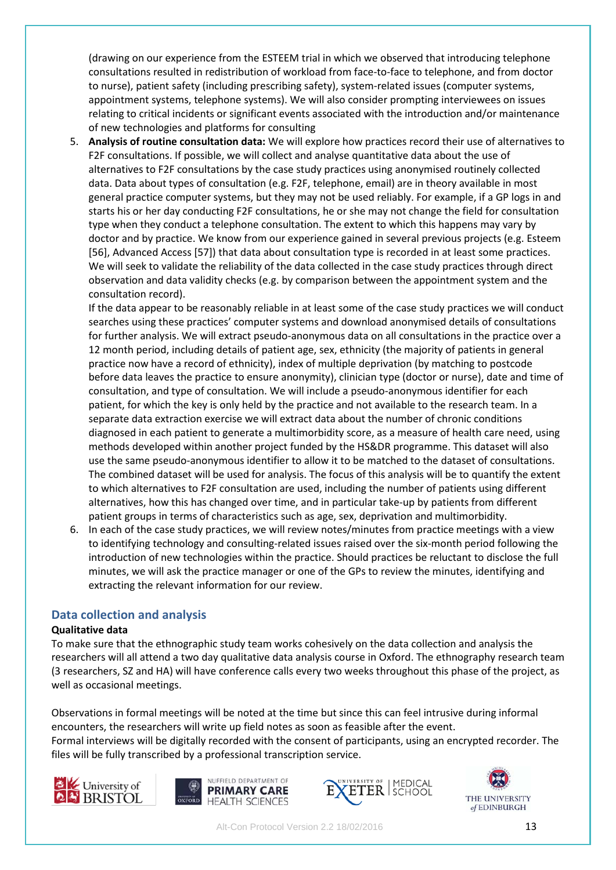(drawing on our experience from the ESTEEM trial in which we observed that introducing telephone consultations resulted in redistribution of workload from face-to-face to telephone, and from doctor to nurse), patient safety (including prescribing safety), system-related issues (computer systems, appointment systems, telephone systems). We will also consider prompting interviewees on issues relating to critical incidents or significant events associated with the introduction and/or maintenance of new technologies and platforms for consulting

5. **Analysis of routine consultation data:** We will explore how practices record their use of alternatives to F2F consultations. If possible, we will collect and analyse quantitative data about the use of alternatives to F2F consultations by the case study practices using anonymised routinely collected data. Data about types of consultation (e.g. F2F, telephone, email) are in theory available in most general practice computer systems, but they may not be used reliably. For example, if a GP logs in and starts his or her day conducting F2F consultations, he or she may not change the field for consultation type when they conduct a telephone consultation. The extent to which this happens may vary by doctor and by practice. We know from our experience gained in several previous projects (e.g. Esteem [56], Advanced Access [57]) that data about consultation type is recorded in at least some practices. We will seek to validate the reliability of the data collected in the case study practices through direct observation and data validity checks (e.g. by comparison between the appointment system and the consultation record).

If the data appear to be reasonably reliable in at least some of the case study practices we will conduct searches using these practices' computer systems and download anonymised details of consultations for further analysis. We will extract pseudo-anonymous data on all consultations in the practice over a 12 month period, including details of patient age, sex, ethnicity (the majority of patients in general practice now have a record of ethnicity), index of multiple deprivation (by matching to postcode before data leaves the practice to ensure anonymity), clinician type (doctor or nurse), date and time of consultation, and type of consultation. We will include a pseudo-anonymous identifier for each patient, for which the key is only held by the practice and not available to the research team. In a separate data extraction exercise we will extract data about the number of chronic conditions diagnosed in each patient to generate a multimorbidity score, as a measure of health care need, using methods developed within another project funded by the HS&DR programme. This dataset will also use the same pseudo-anonymous identifier to allow it to be matched to the dataset of consultations. The combined dataset will be used for analysis. The focus of this analysis will be to quantify the extent to which alternatives to F2F consultation are used, including the number of patients using different alternatives, how this has changed over time, and in particular take-up by patients from different patient groups in terms of characteristics such as age, sex, deprivation and multimorbidity.

6. In each of the case study practices, we will review notes/minutes from practice meetings with a view to identifying technology and consulting-related issues raised over the six-month period following the introduction of new technologies within the practice. Should practices be reluctant to disclose the full minutes, we will ask the practice manager or one of the GPs to review the minutes, identifying and extracting the relevant information for our review.

### **Data collection and analysis**

### **Qualitative data**

To make sure that the ethnographic study team works cohesively on the data collection and analysis the researchers will all attend a two day qualitative data analysis course in Oxford. The ethnography research team (3 researchers, SZ and HA) will have conference calls every two weeks throughout this phase of the project, as well as occasional meetings.

Observations in formal meetings will be noted at the time but since this can feel intrusive during informal encounters, the researchers will write up field notes as soon as feasible after the event. Formal interviews will be digitally recorded with the consent of participants, using an encrypted recorder. The files will be fully transcribed by a professional transcription service.







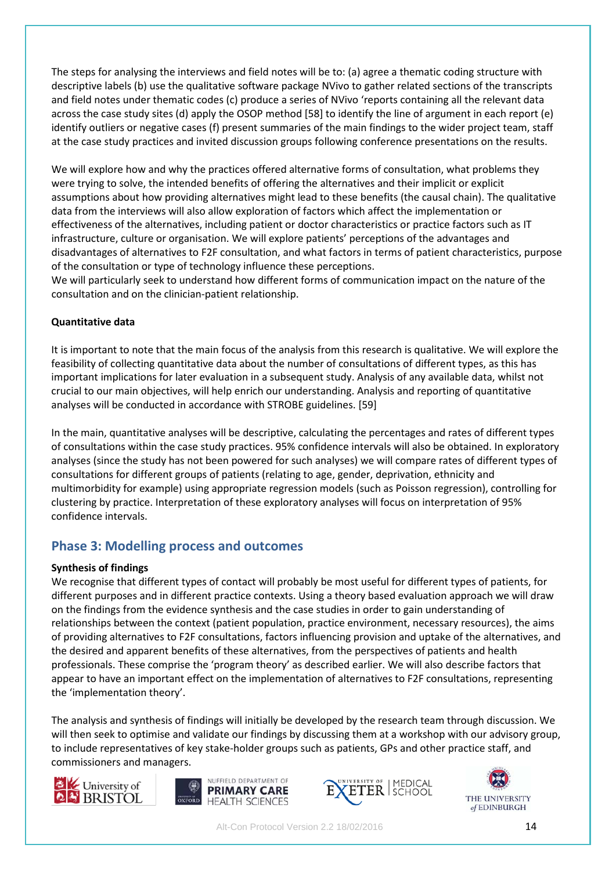The steps for analysing the interviews and field notes will be to: (a) agree a thematic coding structure with descriptive labels (b) use the qualitative software package NVivo to gather related sections of the transcripts and field notes under thematic codes (c) produce a series of NVivo 'reports containing all the relevant data across the case study sites (d) apply the OSOP method [58] to identify the line of argument in each report (e) identify outliers or negative cases (f) present summaries of the main findings to the wider project team, staff at the case study practices and invited discussion groups following conference presentations on the results.

We will explore how and why the practices offered alternative forms of consultation, what problems they were trying to solve, the intended benefits of offering the alternatives and their implicit or explicit assumptions about how providing alternatives might lead to these benefits (the causal chain). The qualitative data from the interviews will also allow exploration of factors which affect the implementation or effectiveness of the alternatives, including patient or doctor characteristics or practice factors such as IT infrastructure, culture or organisation. We will explore patients' perceptions of the advantages and disadvantages of alternatives to F2F consultation, and what factors in terms of patient characteristics, purpose of the consultation or type of technology influence these perceptions.

We will particularly seek to understand how different forms of communication impact on the nature of the consultation and on the clinician-patient relationship.

### **Quantitative data**

It is important to note that the main focus of the analysis from this research is qualitative. We will explore the feasibility of collecting quantitative data about the number of consultations of different types, as this has important implications for later evaluation in a subsequent study. Analysis of any available data, whilst not crucial to our main objectives, will help enrich our understanding. Analysis and reporting of quantitative analyses will be conducted in accordance with STROBE guidelines. [59]

In the main, quantitative analyses will be descriptive, calculating the percentages and rates of different types of consultations within the case study practices. 95% confidence intervals will also be obtained. In exploratory analyses (since the study has not been powered for such analyses) we will compare rates of different types of consultations for different groups of patients (relating to age, gender, deprivation, ethnicity and multimorbidity for example) using appropriate regression models (such as Poisson regression), controlling for clustering by practice. Interpretation of these exploratory analyses will focus on interpretation of 95% confidence intervals.

# **Phase 3: Modelling process and outcomes**

### **Synthesis of findings**

We recognise that different types of contact will probably be most useful for different types of patients, for different purposes and in different practice contexts. Using a theory based evaluation approach we will draw on the findings from the evidence synthesis and the case studies in order to gain understanding of relationships between the context (patient population, practice environment, necessary resources), the aims of providing alternatives to F2F consultations, factors influencing provision and uptake of the alternatives, and the desired and apparent benefits of these alternatives, from the perspectives of patients and health professionals. These comprise the 'program theory' as described earlier. We will also describe factors that appear to have an important effect on the implementation of alternatives to F2F consultations, representing the 'implementation theory'.

The analysis and synthesis of findings will initially be developed by the research team through discussion. We will then seek to optimise and validate our findings by discussing them at a workshop with our advisory group, to include representatives of key stake-holder groups such as patients, GPs and other practice staff, and commissioners and managers.







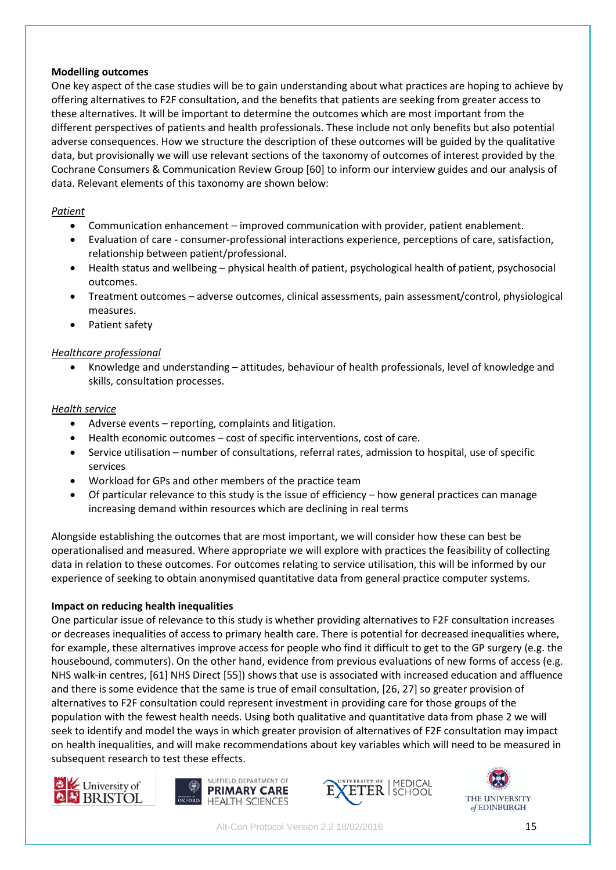#### **Modelling outcomes**

One key aspect of the case studies will be to gain understanding about what practices are hoping to achieve by offering alternatives to F2F consultation, and the benefits that patients are seeking from greater access to these alternatives. It will be important to determine the outcomes which are most important from the different perspectives of patients and health professionals. These include not only benefits but also potential adverse consequences. How we structure the description of these outcomes will be guided by the qualitative data, but provisionally we will use relevant sections of the taxonomy of outcomes of interest provided by the Cochrane Consumers & Communication Review Group [60] to inform our interview guides and our analysis of data. Relevant elements of this taxonomy are shown below:

#### *Patient*

- Communication enhancement improved communication with provider, patient enablement.
- Evaluation of care consumer-professional interactions experience, perceptions of care, satisfaction, relationship between patient/professional.
- Health status and wellbeing physical health of patient, psychological health of patient, psychosocial outcomes.
- Treatment outcomes adverse outcomes, clinical assessments, pain assessment/control, physiological measures.
- Patient safety

### *Healthcare professional*

• Knowledge and understanding – attitudes, behaviour of health professionals, level of knowledge and skills, consultation processes.

#### *Health service*

- Adverse events reporting, complaints and litigation.
- Health economic outcomes cost of specific interventions, cost of care.
- Service utilisation number of consultations, referral rates, admission to hospital, use of specific services
- Workload for GPs and other members of the practice team
- Of particular relevance to this study is the issue of efficiency how general practices can manage increasing demand within resources which are declining in real terms

Alongside establishing the outcomes that are most important, we will consider how these can best be operationalised and measured. Where appropriate we will explore with practices the feasibility of collecting data in relation to these outcomes. For outcomes relating to service utilisation, this will be informed by our experience of seeking to obtain anonymised quantitative data from general practice computer systems.

#### **Impact on reducing health inequalities**

One particular issue of relevance to this study is whether providing alternatives to F2F consultation increases or decreases inequalities of access to primary health care. There is potential for decreased inequalities where, for example, these alternatives improve access for people who find it difficult to get to the GP surgery (e.g. the housebound, commuters). On the other hand, evidence from previous evaluations of new forms of access (e.g. NHS walk-in centres, [61] NHS Direct [55]) shows that use is associated with increased education and affluence and there is some evidence that the same is true of email consultation, [26, 27] so greater provision of alternatives to F2F consultation could represent investment in providing care for those groups of the population with the fewest health needs. Using both qualitative and quantitative data from phase 2 we will seek to identify and model the ways in which greater provision of alternatives of F2F consultation may impact on health inequalities, and will make recommendations about key variables which will need to be measured in subsequent research to test these effects.







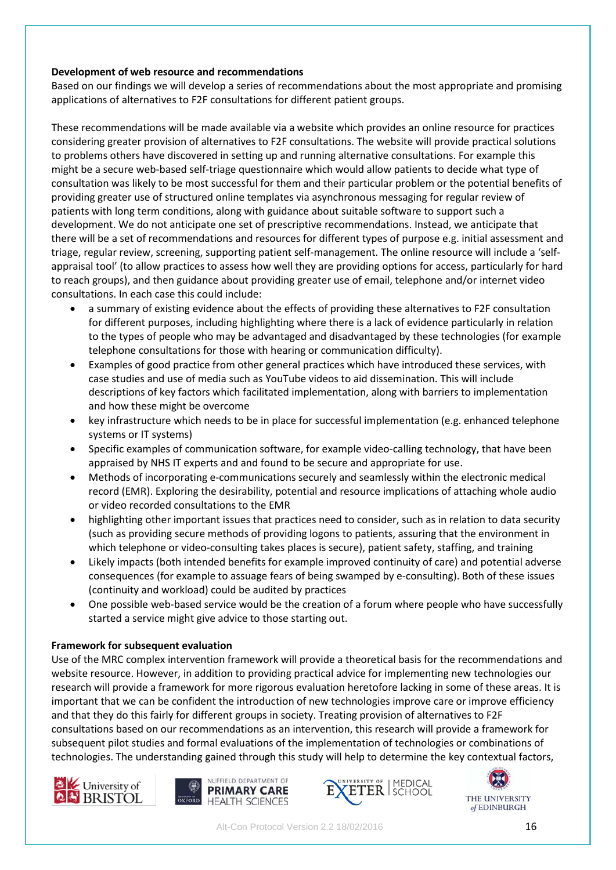#### **Development of web resource and recommendations**

Based on our findings we will develop a series of recommendations about the most appropriate and promising applications of alternatives to F2F consultations for different patient groups.

These recommendations will be made available via a website which provides an online resource for practices considering greater provision of alternatives to F2F consultations. The website will provide practical solutions to problems others have discovered in setting up and running alternative consultations. For example this might be a secure web-based self-triage questionnaire which would allow patients to decide what type of consultation was likely to be most successful for them and their particular problem or the potential benefits of providing greater use of structured online templates via asynchronous messaging for regular review of patients with long term conditions, along with guidance about suitable software to support such a development. We do not anticipate one set of prescriptive recommendations. Instead, we anticipate that there will be a set of recommendations and resources for different types of purpose e.g. initial assessment and triage, regular review, screening, supporting patient self-management. The online resource will include a 'selfappraisal tool' (to allow practices to assess how well they are providing options for access, particularly for hard to reach groups), and then guidance about providing greater use of email, telephone and/or internet video consultations. In each case this could include:

- a summary of existing evidence about the effects of providing these alternatives to F2F consultation for different purposes, including highlighting where there is a lack of evidence particularly in relation to the types of people who may be advantaged and disadvantaged by these technologies (for example telephone consultations for those with hearing or communication difficulty).
- Examples of good practice from other general practices which have introduced these services, with case studies and use of media such as YouTube videos to aid dissemination. This will include descriptions of key factors which facilitated implementation, along with barriers to implementation and how these might be overcome
- key infrastructure which needs to be in place for successful implementation (e.g. enhanced telephone systems or IT systems)
- Specific examples of communication software, for example video-calling technology, that have been appraised by NHS IT experts and and found to be secure and appropriate for use.
- Methods of incorporating e-communications securely and seamlessly within the electronic medical record (EMR). Exploring the desirability, potential and resource implications of attaching whole audio or video recorded consultations to the EMR
- highlighting other important issues that practices need to consider, such as in relation to data security (such as providing secure methods of providing logons to patients, assuring that the environment in which telephone or video-consulting takes places is secure), patient safety, staffing, and training
- Likely impacts (both intended benefits for example improved continuity of care) and potential adverse consequences (for example to assuage fears of being swamped by e-consulting). Both of these issues (continuity and workload) could be audited by practices
- One possible web-based service would be the creation of a forum where people who have successfully started a service might give advice to those starting out.

#### **Framework for subsequent evaluation**

Use of the MRC complex intervention framework will provide a theoretical basis for the recommendations and website resource. However, in addition to providing practical advice for implementing new technologies our research will provide a framework for more rigorous evaluation heretofore lacking in some of these areas. It is important that we can be confident the introduction of new technologies improve care or improve efficiency and that they do this fairly for different groups in society. Treating provision of alternatives to F2F consultations based on our recommendations as an intervention, this research will provide a framework for subsequent pilot studies and formal evaluations of the implementation of technologies or combinations of technologies. The understanding gained through this study will help to determine the key contextual factors,







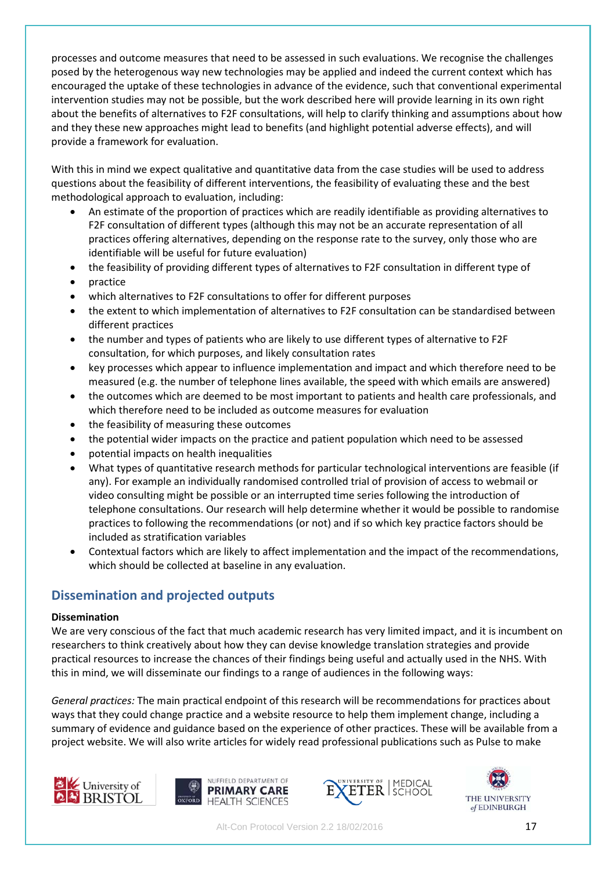processes and outcome measures that need to be assessed in such evaluations. We recognise the challenges posed by the heterogenous way new technologies may be applied and indeed the current context which has encouraged the uptake of these technologies in advance of the evidence, such that conventional experimental intervention studies may not be possible, but the work described here will provide learning in its own right about the benefits of alternatives to F2F consultations, will help to clarify thinking and assumptions about how and they these new approaches might lead to benefits (and highlight potential adverse effects), and will provide a framework for evaluation.

With this in mind we expect qualitative and quantitative data from the case studies will be used to address questions about the feasibility of different interventions, the feasibility of evaluating these and the best methodological approach to evaluation, including:

- An estimate of the proportion of practices which are readily identifiable as providing alternatives to F2F consultation of different types (although this may not be an accurate representation of all practices offering alternatives, depending on the response rate to the survey, only those who are identifiable will be useful for future evaluation)
- the feasibility of providing different types of alternatives to F2F consultation in different type of
- practice
- which alternatives to F2F consultations to offer for different purposes
- the extent to which implementation of alternatives to F2F consultation can be standardised between different practices
- the number and types of patients who are likely to use different types of alternative to F2F consultation, for which purposes, and likely consultation rates
- key processes which appear to influence implementation and impact and which therefore need to be measured (e.g. the number of telephone lines available, the speed with which emails are answered)
- the outcomes which are deemed to be most important to patients and health care professionals, and which therefore need to be included as outcome measures for evaluation
- the feasibility of measuring these outcomes
- the potential wider impacts on the practice and patient population which need to be assessed
- potential impacts on health inequalities
- What types of quantitative research methods for particular technological interventions are feasible (if any). For example an individually randomised controlled trial of provision of access to webmail or video consulting might be possible or an interrupted time series following the introduction of telephone consultations. Our research will help determine whether it would be possible to randomise practices to following the recommendations (or not) and if so which key practice factors should be included as stratification variables
- Contextual factors which are likely to affect implementation and the impact of the recommendations, which should be collected at baseline in any evaluation.

# **Dissemination and projected outputs**

#### **Dissemination**

We are very conscious of the fact that much academic research has very limited impact, and it is incumbent on researchers to think creatively about how they can devise knowledge translation strategies and provide practical resources to increase the chances of their findings being useful and actually used in the NHS. With this in mind, we will disseminate our findings to a range of audiences in the following ways:

*General practices:* The main practical endpoint of this research will be recommendations for practices about ways that they could change practice and a website resource to help them implement change, including a summary of evidence and guidance based on the experience of other practices. These will be available from a project website. We will also write articles for widely read professional publications such as Pulse to make







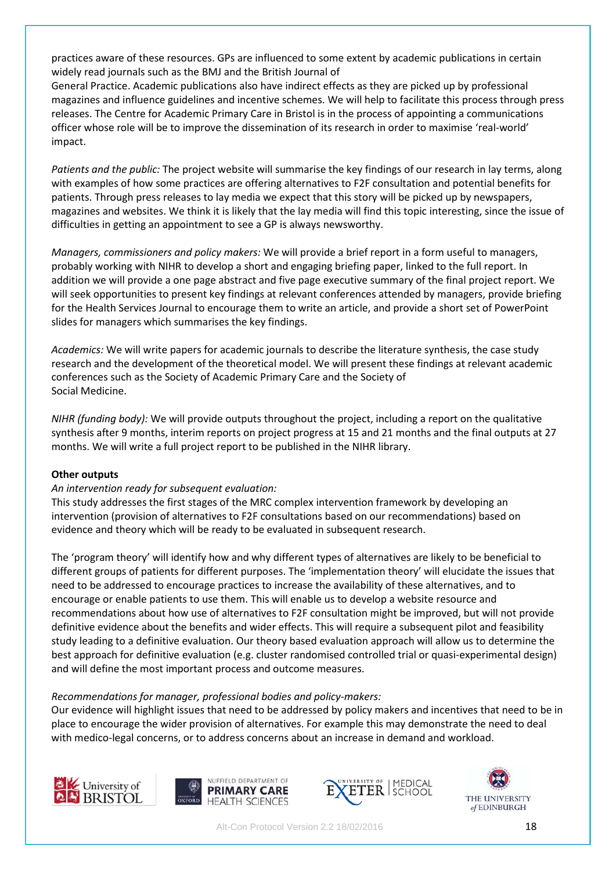practices aware of these resources. GPs are influenced to some extent by academic publications in certain widely read journals such as the BMJ and the British Journal of

General Practice. Academic publications also have indirect effects as they are picked up by professional magazines and influence guidelines and incentive schemes. We will help to facilitate this process through press releases. The Centre for Academic Primary Care in Bristol is in the process of appointing a communications officer whose role will be to improve the dissemination of its research in order to maximise 'real-world' impact.

*Patients and the public:* The project website will summarise the key findings of our research in lay terms, along with examples of how some practices are offering alternatives to F2F consultation and potential benefits for patients. Through press releases to lay media we expect that this story will be picked up by newspapers, magazines and websites. We think it is likely that the lay media will find this topic interesting, since the issue of difficulties in getting an appointment to see a GP is always newsworthy.

*Managers, commissioners and policy makers:* We will provide a brief report in a form useful to managers, probably working with NIHR to develop a short and engaging briefing paper, linked to the full report. In addition we will provide a one page abstract and five page executive summary of the final project report. We will seek opportunities to present key findings at relevant conferences attended by managers, provide briefing for the Health Services Journal to encourage them to write an article, and provide a short set of PowerPoint slides for managers which summarises the key findings.

*Academics:* We will write papers for academic journals to describe the literature synthesis, the case study research and the development of the theoretical model. We will present these findings at relevant academic conferences such as the Society of Academic Primary Care and the Society of Social Medicine.

*NIHR (funding body):* We will provide outputs throughout the project, including a report on the qualitative synthesis after 9 months, interim reports on project progress at 15 and 21 months and the final outputs at 27 months. We will write a full project report to be published in the NIHR library.

### **Other outputs**

### *An intervention ready for subsequent evaluation:*

This study addresses the first stages of the MRC complex intervention framework by developing an intervention (provision of alternatives to F2F consultations based on our recommendations) based on evidence and theory which will be ready to be evaluated in subsequent research.

The 'program theory' will identify how and why different types of alternatives are likely to be beneficial to different groups of patients for different purposes. The 'implementation theory' will elucidate the issues that need to be addressed to encourage practices to increase the availability of these alternatives, and to encourage or enable patients to use them. This will enable us to develop a website resource and recommendations about how use of alternatives to F2F consultation might be improved, but will not provide definitive evidence about the benefits and wider effects. This will require a subsequent pilot and feasibility study leading to a definitive evaluation. Our theory based evaluation approach will allow us to determine the best approach for definitive evaluation (e.g. cluster randomised controlled trial or quasi-experimental design) and will define the most important process and outcome measures.

#### *Recommendations for manager, professional bodies and policy-makers:*

Our evidence will highlight issues that need to be addressed by policy makers and incentives that need to be in place to encourage the wider provision of alternatives. For example this may demonstrate the need to deal with medico-legal concerns, or to address concerns about an increase in demand and workload.







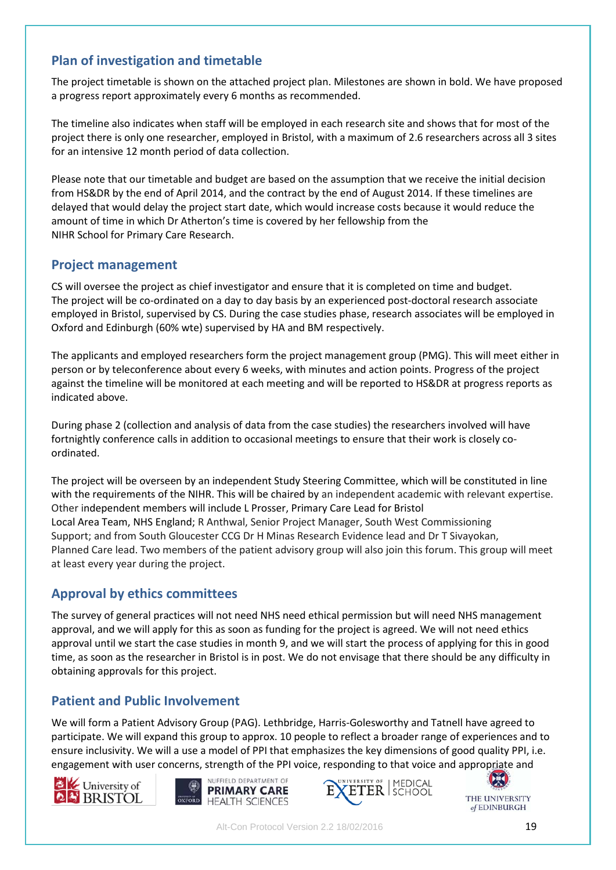## **Plan of investigation and timetable**

The project timetable is shown on the attached project plan. Milestones are shown in bold. We have proposed a progress report approximately every 6 months as recommended.

The timeline also indicates when staff will be employed in each research site and shows that for most of the project there is only one researcher, employed in Bristol, with a maximum of 2.6 researchers across all 3 sites for an intensive 12 month period of data collection.

Please note that our timetable and budget are based on the assumption that we receive the initial decision from HS&DR by the end of April 2014, and the contract by the end of August 2014. If these timelines are delayed that would delay the project start date, which would increase costs because it would reduce the amount of time in which Dr Atherton's time is covered by her fellowship from the NIHR School for Primary Care Research.

### **Project management**

CS will oversee the project as chief investigator and ensure that it is completed on time and budget. The project will be co-ordinated on a day to day basis by an experienced post-doctoral research associate employed in Bristol, supervised by CS. During the case studies phase, research associates will be employed in Oxford and Edinburgh (60% wte) supervised by HA and BM respectively.

The applicants and employed researchers form the project management group (PMG). This will meet either in person or by teleconference about every 6 weeks, with minutes and action points. Progress of the project against the timeline will be monitored at each meeting and will be reported to HS&DR at progress reports as indicated above.

During phase 2 (collection and analysis of data from the case studies) the researchers involved will have fortnightly conference calls in addition to occasional meetings to ensure that their work is closely coordinated.

The project will be overseen by an independent Study Steering Committee, which will be constituted in line with the requirements of the NIHR. This will be chaired by an independent academic with relevant expertise. Other independent members will include L Prosser, Primary Care Lead for Bristol Local Area Team, NHS England; R Anthwal, Senior Project Manager, South West Commissioning Support; and from South Gloucester CCG Dr H Minas Research Evidence lead and Dr T Sivayokan, Planned Care lead. Two members of the patient advisory group will also join this forum. This group will meet at least every year during the project.

# **Approval by ethics committees**

The survey of general practices will not need NHS need ethical permission but will need NHS management approval, and we will apply for this as soon as funding for the project is agreed. We will not need ethics approval until we start the case studies in month 9, and we will start the process of applying for this in good time, as soon as the researcher in Bristol is in post. We do not envisage that there should be any difficulty in obtaining approvals for this project.

# **Patient and Public Involvement**

We will form a Patient Advisory Group (PAG). Lethbridge, Harris-Golesworthy and Tatnell have agreed to participate. We will expand this group to approx. 10 people to reflect a broader range of experiences and to ensure inclusivity. We will a use a model of PPI that emphasizes the key dimensions of good quality PPI, i.e. engagement with user concerns, strength of the PPI voice, responding to that voice and appropriate and







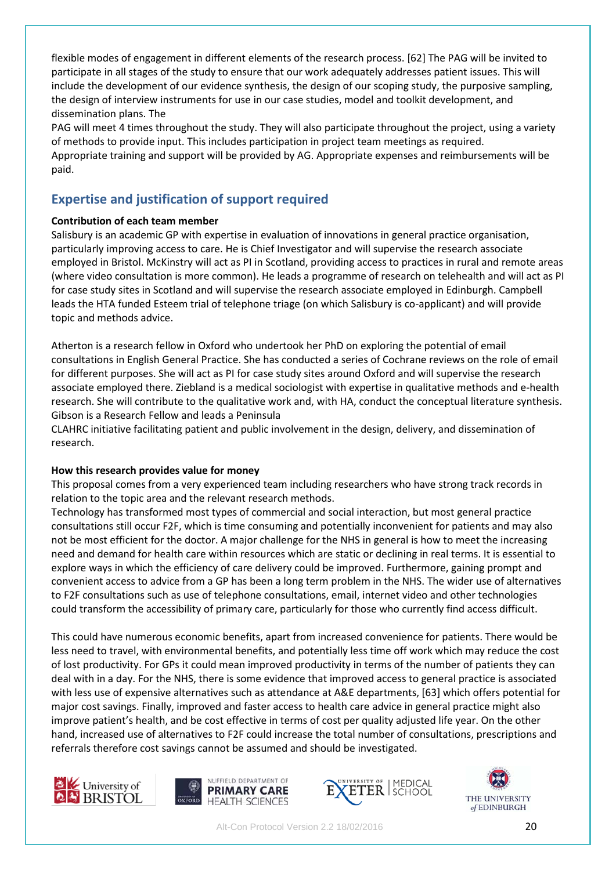flexible modes of engagement in different elements of the research process. [62] The PAG will be invited to participate in all stages of the study to ensure that our work adequately addresses patient issues. This will include the development of our evidence synthesis, the design of our scoping study, the purposive sampling, the design of interview instruments for use in our case studies, model and toolkit development, and dissemination plans. The

PAG will meet 4 times throughout the study. They will also participate throughout the project, using a variety of methods to provide input. This includes participation in project team meetings as required. Appropriate training and support will be provided by AG. Appropriate expenses and reimbursements will be paid.

# **Expertise and justification of support required**

### **Contribution of each team member**

Salisbury is an academic GP with expertise in evaluation of innovations in general practice organisation, particularly improving access to care. He is Chief Investigator and will supervise the research associate employed in Bristol. McKinstry will act as PI in Scotland, providing access to practices in rural and remote areas (where video consultation is more common). He leads a programme of research on telehealth and will act as PI for case study sites in Scotland and will supervise the research associate employed in Edinburgh. Campbell leads the HTA funded Esteem trial of telephone triage (on which Salisbury is co-applicant) and will provide topic and methods advice.

Atherton is a research fellow in Oxford who undertook her PhD on exploring the potential of email consultations in English General Practice. She has conducted a series of Cochrane reviews on the role of email for different purposes. She will act as PI for case study sites around Oxford and will supervise the research associate employed there. Ziebland is a medical sociologist with expertise in qualitative methods and e-health research. She will contribute to the qualitative work and, with HA, conduct the conceptual literature synthesis. Gibson is a Research Fellow and leads a Peninsula

CLAHRC initiative facilitating patient and public involvement in the design, delivery, and dissemination of research.

### **How this research provides value for money**

This proposal comes from a very experienced team including researchers who have strong track records in relation to the topic area and the relevant research methods.

Technology has transformed most types of commercial and social interaction, but most general practice consultations still occur F2F, which is time consuming and potentially inconvenient for patients and may also not be most efficient for the doctor. A major challenge for the NHS in general is how to meet the increasing need and demand for health care within resources which are static or declining in real terms. It is essential to explore ways in which the efficiency of care delivery could be improved. Furthermore, gaining prompt and convenient access to advice from a GP has been a long term problem in the NHS. The wider use of alternatives to F2F consultations such as use of telephone consultations, email, internet video and other technologies could transform the accessibility of primary care, particularly for those who currently find access difficult.

This could have numerous economic benefits, apart from increased convenience for patients. There would be less need to travel, with environmental benefits, and potentially less time off work which may reduce the cost of lost productivity. For GPs it could mean improved productivity in terms of the number of patients they can deal with in a day. For the NHS, there is some evidence that improved access to general practice is associated with less use of expensive alternatives such as attendance at A&E departments, [63] which offers potential for major cost savings. Finally, improved and faster access to health care advice in general practice might also improve patient's health, and be cost effective in terms of cost per quality adjusted life year. On the other hand, increased use of alternatives to F2F could increase the total number of consultations, prescriptions and referrals therefore cost savings cannot be assumed and should be investigated.







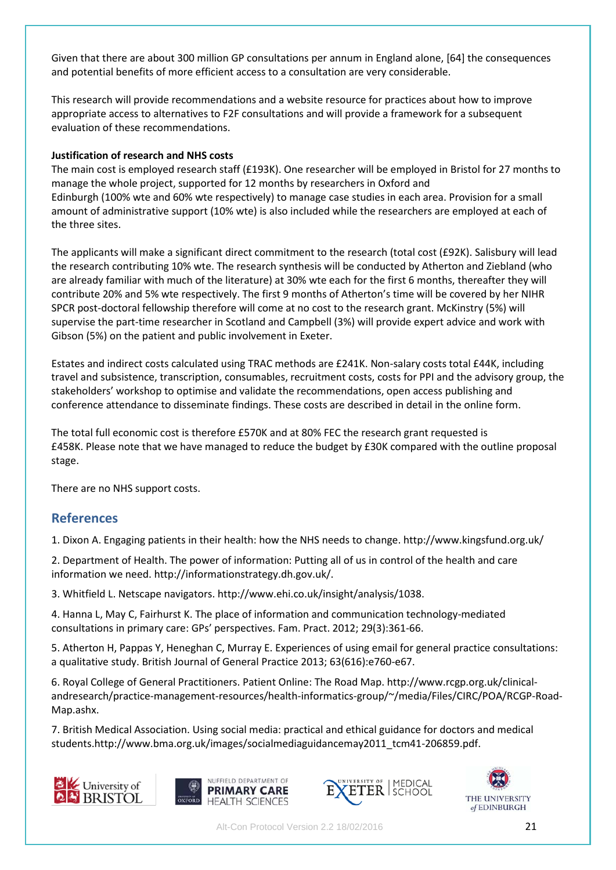Given that there are about 300 million GP consultations per annum in England alone, [64] the consequences and potential benefits of more efficient access to a consultation are very considerable.

This research will provide recommendations and a website resource for practices about how to improve appropriate access to alternatives to F2F consultations and will provide a framework for a subsequent evaluation of these recommendations.

#### **Justification of research and NHS costs**

The main cost is employed research staff (£193K). One researcher will be employed in Bristol for 27 months to manage the whole project, supported for 12 months by researchers in Oxford and Edinburgh (100% wte and 60% wte respectively) to manage case studies in each area. Provision for a small amount of administrative support (10% wte) is also included while the researchers are employed at each of the three sites.

The applicants will make a significant direct commitment to the research (total cost (£92K). Salisbury will lead the research contributing 10% wte. The research synthesis will be conducted by Atherton and Ziebland (who are already familiar with much of the literature) at 30% wte each for the first 6 months, thereafter they will contribute 20% and 5% wte respectively. The first 9 months of Atherton's time will be covered by her NIHR SPCR post-doctoral fellowship therefore will come at no cost to the research grant. McKinstry (5%) will supervise the part-time researcher in Scotland and Campbell (3%) will provide expert advice and work with Gibson (5%) on the patient and public involvement in Exeter.

Estates and indirect costs calculated using TRAC methods are £241K. Non-salary costs total £44K, including travel and subsistence, transcription, consumables, recruitment costs, costs for PPI and the advisory group, the stakeholders' workshop to optimise and validate the recommendations, open access publishing and conference attendance to disseminate findings. These costs are described in detail in the online form.

The total full economic cost is therefore £570K and at 80% FEC the research grant requested is £458K. Please note that we have managed to reduce the budget by £30K compared with the outline proposal stage.

There are no NHS support costs.

### **References**

1. Dixon A. Engaging patients in their health: how the NHS needs to change. http://www.kingsfund.org.uk/

2. Department of Health. The power of information: Putting all of us in control of the health and care information we need. http://informationstrategy.dh.gov.uk/.

3. Whitfield L. Netscape navigators. http://www.ehi.co.uk/insight/analysis/1038.

4. Hanna L, May C, Fairhurst K. The place of information and communication technology-mediated consultations in primary care: GPs' perspectives. Fam. Pract. 2012; 29(3):361-66.

5. Atherton H, Pappas Y, Heneghan C, Murray E. Experiences of using email for general practice consultations: a qualitative study. British Journal of General Practice 2013; 63(616):e760-e67.

6. Royal College of General Practitioners. Patient Online: The Road Map. http://www.rcgp.org.uk/clinicalandresearch/practice-management-resources/health-informatics-group/~/media/Files/CIRC/POA/RCGP-Road-Map.ashx.

7. British Medical Association. Using social media: practical and ethical guidance for doctors and medical students.http://www.bma.org.uk/images/socialmediaguidancemay2011\_tcm41-206859.pdf.







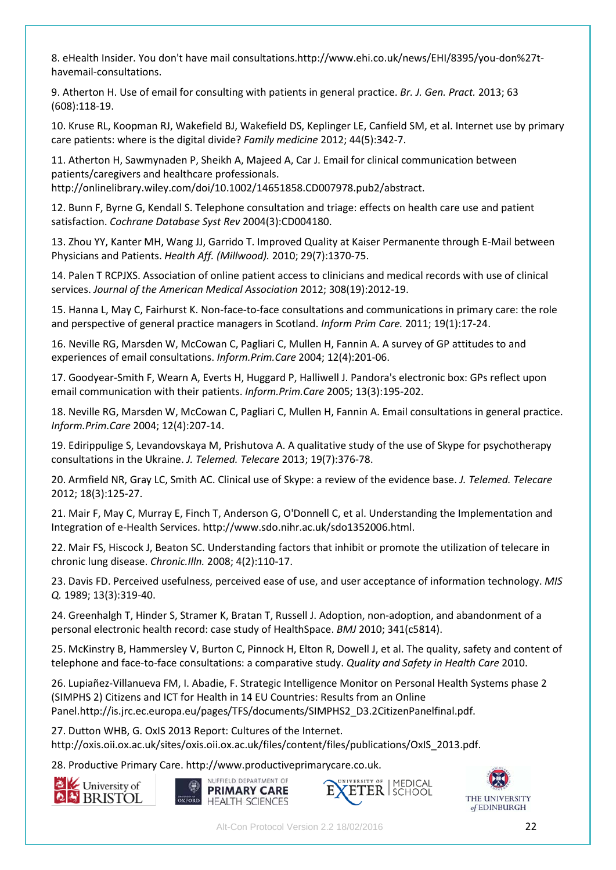8. eHealth Insider. You don't have mail consultations.http://www.ehi.co.uk/news/EHI/8395/you-don%27thavemail-consultations.

9. Atherton H. Use of email for consulting with patients in general practice. *Br. J. Gen. Pract.* 2013; 63 (608):118-19.

10. Kruse RL, Koopman RJ, Wakefield BJ, Wakefield DS, Keplinger LE, Canfield SM, et al. Internet use by primary care patients: where is the digital divide? *Family medicine* 2012; 44(5):342-7.

11. Atherton H, Sawmynaden P, Sheikh A, Majeed A, Car J. Email for clinical communication between patients/caregivers and healthcare professionals. http://onlinelibrary.wiley.com/doi/10.1002/14651858.CD007978.pub2/abstract.

12. Bunn F, Byrne G, Kendall S. Telephone consultation and triage: effects on health care use and patient satisfaction. *Cochrane Database Syst Rev* 2004(3):CD004180.

13. Zhou YY, Kanter MH, Wang JJ, Garrido T. Improved Quality at Kaiser Permanente through E-Mail between Physicians and Patients. *Health Aff. (Millwood).* 2010; 29(7):1370-75.

14. Palen T RCPJXS. Association of online patient access to clinicians and medical records with use of clinical services. *Journal of the American Medical Association* 2012; 308(19):2012-19.

15. Hanna L, May C, Fairhurst K. Non-face-to-face consultations and communications in primary care: the role and perspective of general practice managers in Scotland. *Inform Prim Care.* 2011; 19(1):17-24.

16. Neville RG, Marsden W, McCowan C, Pagliari C, Mullen H, Fannin A. A survey of GP attitudes to and experiences of email consultations. *Inform.Prim.Care* 2004; 12(4):201-06.

17. Goodyear-Smith F, Wearn A, Everts H, Huggard P, Halliwell J. Pandora's electronic box: GPs reflect upon email communication with their patients. *Inform.Prim.Care* 2005; 13(3):195-202.

18. Neville RG, Marsden W, McCowan C, Pagliari C, Mullen H, Fannin A. Email consultations in general practice. *Inform.Prim.Care* 2004; 12(4):207-14.

19. Edirippulige S, Levandovskaya M, Prishutova A. A qualitative study of the use of Skype for psychotherapy consultations in the Ukraine. *J. Telemed. Telecare* 2013; 19(7):376-78.

20. Armfield NR, Gray LC, Smith AC. Clinical use of Skype: a review of the evidence base. *J. Telemed. Telecare*  2012; 18(3):125-27.

21. Mair F, May C, Murray E, Finch T, Anderson G, O'Donnell C, et al. Understanding the Implementation and Integration of e-Health Services. http://www.sdo.nihr.ac.uk/sdo1352006.html.

22. Mair FS, Hiscock J, Beaton SC. Understanding factors that inhibit or promote the utilization of telecare in chronic lung disease. *Chronic.Illn.* 2008; 4(2):110-17.

23. Davis FD. Perceived usefulness, perceived ease of use, and user acceptance of information technology. *MIS Q.* 1989; 13(3):319-40.

24. Greenhalgh T, Hinder S, Stramer K, Bratan T, Russell J. Adoption, non-adoption, and abandonment of a personal electronic health record: case study of HealthSpace. *BMJ* 2010; 341(c5814).

25. McKinstry B, Hammersley V, Burton C, Pinnock H, Elton R, Dowell J, et al. The quality, safety and content of telephone and face-to-face consultations: a comparative study. *Quality and Safety in Health Care* 2010.

26. Lupiañez-Villanueva FM, I. Abadie, F. Strategic Intelligence Monitor on Personal Health Systems phase 2 (SIMPHS 2) Citizens and ICT for Health in 14 EU Countries: Results from an Online Panel.http://is.jrc.ec.europa.eu/pages/TFS/documents/SIMPHS2\_D3.2CitizenPanelfinal.pdf.

27. Dutton WHB, G. OxIS 2013 Report: Cultures of the Internet. http://oxis.oii.ox.ac.uk/sites/oxis.oii.ox.ac.uk/files/content/files/publications/OxIS\_2013.pdf.

28. Productive Primary Care. http://www.productiveprimarycare.co.uk.









Alt-Con Protocol Version 2.2 18/02/2016 22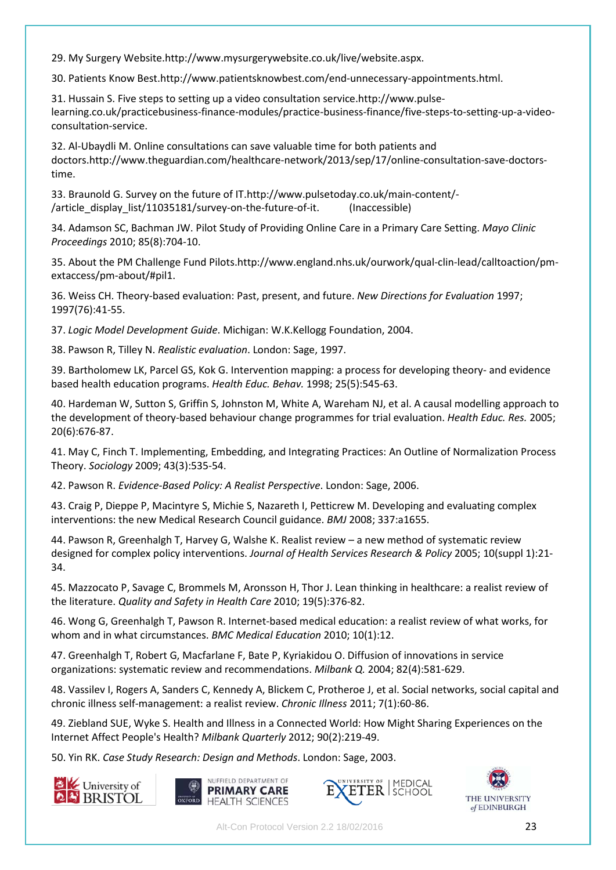29. My Surgery Website.http://www.mysurgerywebsite.co.uk/live/website.aspx.

30. Patients Know Best.http://www.patientsknowbest.com/end-unnecessary-appointments.html.

31. Hussain S. Five steps to setting up a video consultation service.http://www.pulselearning.co.uk/practicebusiness-finance-modules/practice-business-finance/five-steps-to-setting-up-a-videoconsultation-service.

32. Al-Ubaydli M. Online consultations can save valuable time for both patients and doctors.http://www.theguardian.com/healthcare-network/2013/sep/17/online-consultation-save-doctorstime.

33. Braunold G. Survey on the future of IT.http://www.pulsetoday.co.uk/main-content/- /article display list/11035181/survey-on-the-future-of-it. (Inaccessible)

34. Adamson SC, Bachman JW. Pilot Study of Providing Online Care in a Primary Care Setting. *Mayo Clinic Proceedings* 2010; 85(8):704-10.

35. About the PM Challenge Fund Pilots.http://www.england.nhs.uk/ourwork/qual-clin-lead/calltoaction/pmextaccess/pm-about/#pil1.

36. Weiss CH. Theory-based evaluation: Past, present, and future. *New Directions for Evaluation* 1997; 1997(76):41-55.

37. *Logic Model Development Guide*. Michigan: W.K.Kellogg Foundation, 2004.

38. Pawson R, Tilley N. *Realistic evaluation*. London: Sage, 1997.

39. Bartholomew LK, Parcel GS, Kok G. Intervention mapping: a process for developing theory- and evidence based health education programs. *Health Educ. Behav.* 1998; 25(5):545-63.

40. Hardeman W, Sutton S, Griffin S, Johnston M, White A, Wareham NJ, et al. A causal modelling approach to the development of theory-based behaviour change programmes for trial evaluation. *Health Educ. Res.* 2005; 20(6):676-87.

41. May C, Finch T. Implementing, Embedding, and Integrating Practices: An Outline of Normalization Process Theory. *Sociology* 2009; 43(3):535-54.

42. Pawson R. *Evidence-Based Policy: A Realist Perspective*. London: Sage, 2006.

43. Craig P, Dieppe P, Macintyre S, Michie S, Nazareth I, Petticrew M. Developing and evaluating complex interventions: the new Medical Research Council guidance. *BMJ* 2008; 337:a1655.

44. Pawson R, Greenhalgh T, Harvey G, Walshe K. Realist review – a new method of systematic review designed for complex policy interventions. *Journal of Health Services Research & Policy* 2005; 10(suppl 1):21- 34.

45. Mazzocato P, Savage C, Brommels M, Aronsson H, Thor J. Lean thinking in healthcare: a realist review of the literature. *Quality and Safety in Health Care* 2010; 19(5):376-82.

46. Wong G, Greenhalgh T, Pawson R. Internet-based medical education: a realist review of what works, for whom and in what circumstances. *BMC Medical Education* 2010; 10(1):12.

47. Greenhalgh T, Robert G, Macfarlane F, Bate P, Kyriakidou O. Diffusion of innovations in service organizations: systematic review and recommendations. *Milbank Q.* 2004; 82(4):581-629.

48. Vassilev I, Rogers A, Sanders C, Kennedy A, Blickem C, Protheroe J, et al. Social networks, social capital and chronic illness self-management: a realist review. *Chronic Illness* 2011; 7(1):60-86.

49. Ziebland SUE, Wyke S. Health and Illness in a Connected World: How Might Sharing Experiences on the Internet Affect People's Health? *Milbank Quarterly* 2012; 90(2):219-49.

50. Yin RK. *Case Study Research: Design and Methods*. London: Sage, 2003.